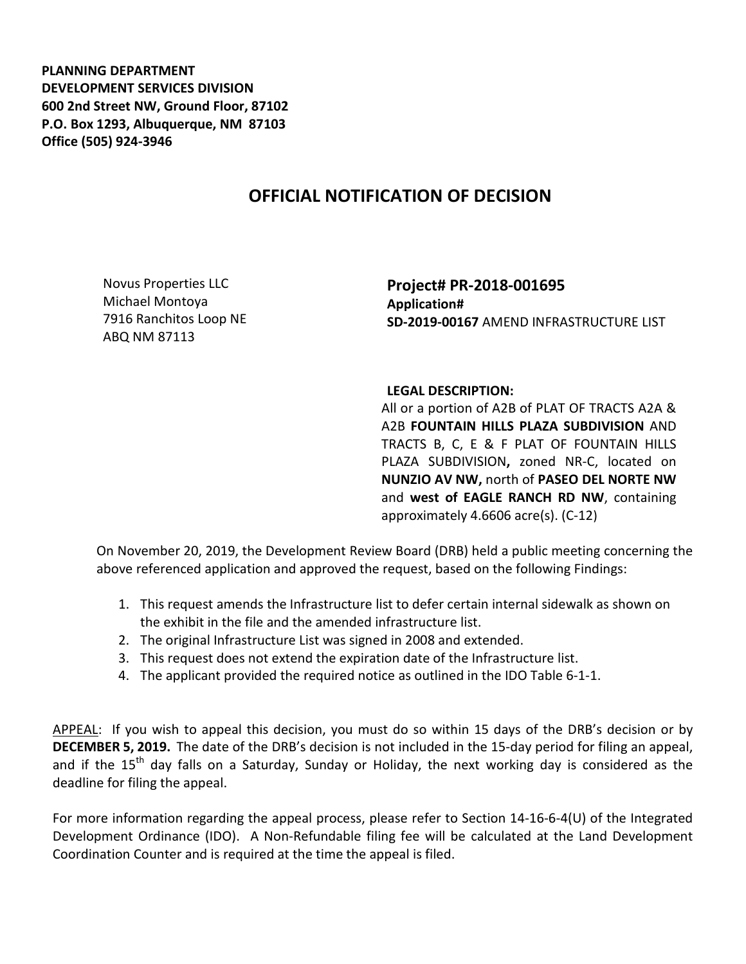**PLANNING DEPARTMENT DEVELOPMENT SERVICES DIVISION 600 2nd Street NW, Ground Floor, 87102 P.O. Box 1293, Albuquerque, NM 87103 Office (505) 924-3946** 

## **OFFICIAL NOTIFICATION OF DECISION**

Novus Properties LLC Michael Montoya 7916 Ranchitos Loop NE ABQ NM 87113

**Project# PR-2018-001695 Application# SD-2019-00167** AMEND INFRASTRUCTURE LIST

## **LEGAL DESCRIPTION:**

All or a portion of A2B of PLAT OF TRACTS A2A & A2B **FOUNTAIN HILLS PLAZA SUBDIVISION** AND TRACTS B, C, E & F PLAT OF FOUNTAIN HILLS PLAZA SUBDIVISION**,** zoned NR-C, located on **NUNZIO AV NW,** north of **PASEO DEL NORTE NW**  and **west of EAGLE RANCH RD NW**, containing approximately 4.6606 acre(s). (C-12)

On November 20, 2019, the Development Review Board (DRB) held a public meeting concerning the above referenced application and approved the request, based on the following Findings:

- 1. This request amends the Infrastructure list to defer certain internal sidewalk as shown on the exhibit in the file and the amended infrastructure list.
- 2. The original Infrastructure List was signed in 2008 and extended.
- 3. This request does not extend the expiration date of the Infrastructure list.
- 4. The applicant provided the required notice as outlined in the IDO Table 6-1-1.

APPEAL: If you wish to appeal this decision, you must do so within 15 days of the DRB's decision or by **DECEMBER 5, 2019.** The date of the DRB's decision is not included in the 15-day period for filing an appeal, and if the  $15<sup>th</sup>$  day falls on a Saturday, Sunday or Holiday, the next working day is considered as the deadline for filing the appeal.

For more information regarding the appeal process, please refer to Section 14-16-6-4(U) of the Integrated Development Ordinance (IDO). A Non-Refundable filing fee will be calculated at the Land Development Coordination Counter and is required at the time the appeal is filed.